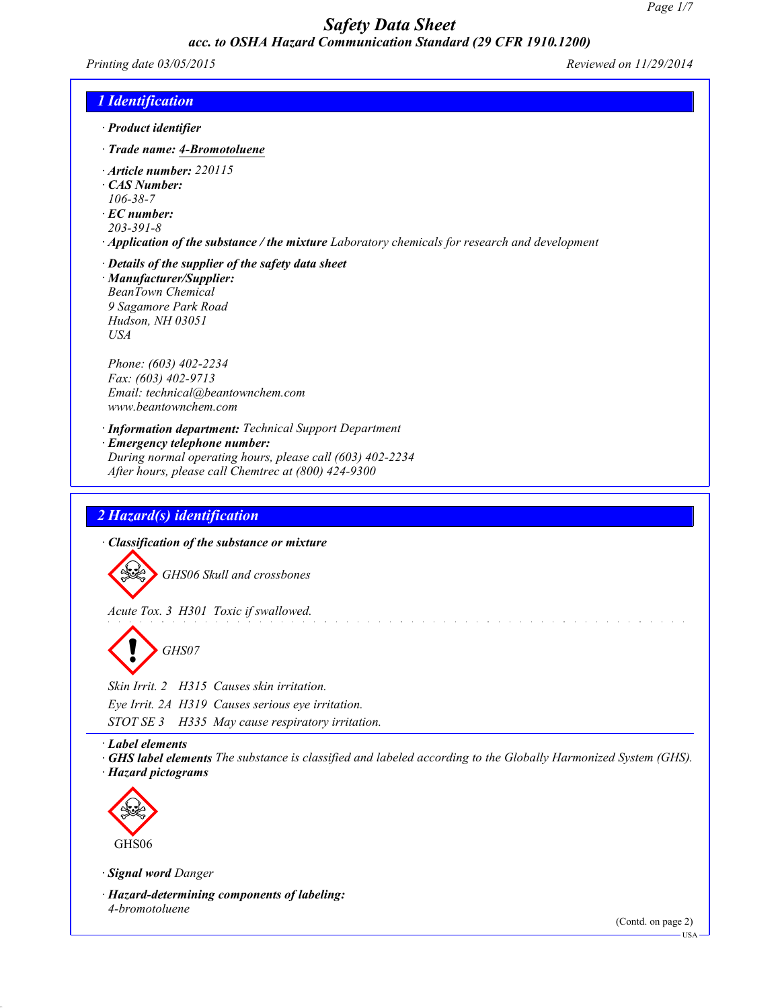*Printing date 03/05/2015 Reviewed on 11/29/2014*

## *1 Identification*

- *· Product identifier*
- *· Trade name: 4-Bromotoluene*
- *· Article number: 220115*
- *· CAS Number:*
- *106-38-7*
- *· EC number:*
- *203-391-8*
- *· Application of the substance / the mixture Laboratory chemicals for research and development*
- *· Details of the supplier of the safety data sheet*

*· Manufacturer/Supplier: BeanTown Chemical 9 Sagamore Park Road Hudson, NH 03051 USA*

*Phone: (603) 402-2234 Fax: (603) 402-9713 Email: technical@beantownchem.com www.beantownchem.com*

*· Information department: Technical Support Department*

- *· Emergency telephone number:*
- *During normal operating hours, please call (603) 402-2234 After hours, please call Chemtrec at (800) 424-9300*

## *2 Hazard(s) identification*

*· Classification of the substance or mixture*

*GHS06 Skull and crossbones*

*Acute Tox. 3 H301 Toxic if swallowed.*



*Skin Irrit. 2 H315 Causes skin irritation. Eye Irrit. 2A H319 Causes serious eye irritation. STOT SE 3 H335 May cause respiratory irritation.*

*· Label elements*

GHS label elements The substance is classified and labeled according to the Globally Harmonized System (GHS). *· Hazard pictograms*



*· Signal word Danger*

*· Hazard-determining components of labeling: 4-bromotoluene*

(Contd. on page 2)

USA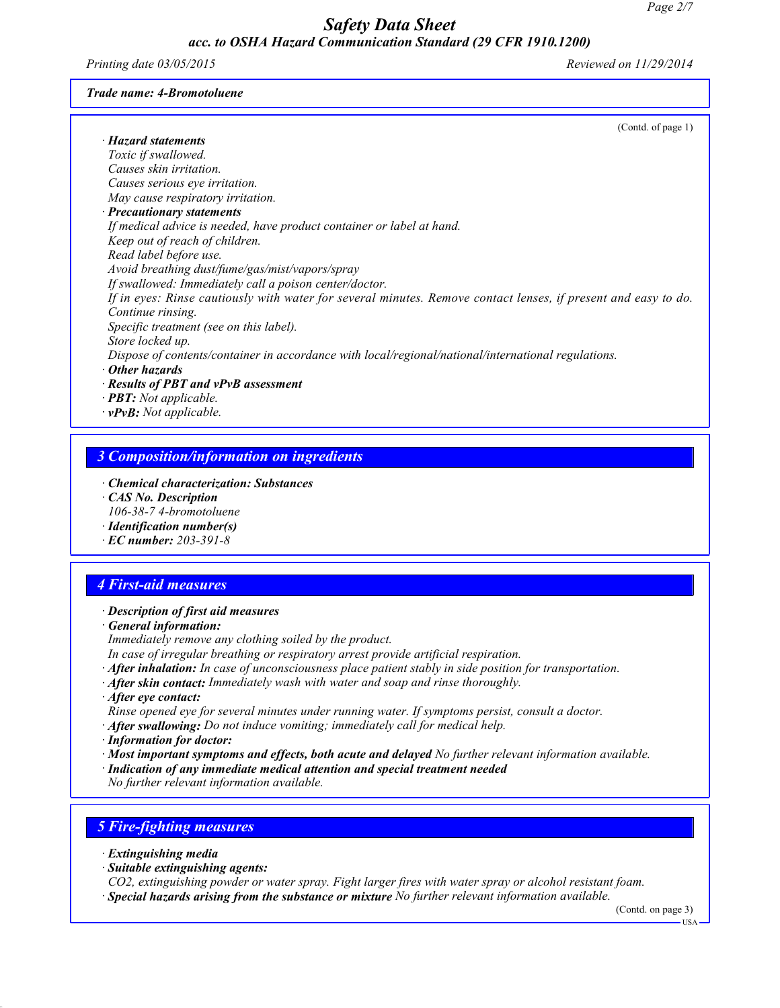*Printing date 03/05/2015 Reviewed on 11/29/2014*

#### *Trade name: 4-Bromotoluene*

| (Contd. of page 1)                                                                                             |
|----------------------------------------------------------------------------------------------------------------|
| · Hazard statements                                                                                            |
| Toxic if swallowed.                                                                                            |
| Causes skin irritation.                                                                                        |
| Causes serious eye irritation.                                                                                 |
| May cause respiratory irritation.                                                                              |
| $\cdot$ Precautionary statements                                                                               |
| If medical advice is needed, have product container or label at hand.                                          |
| Keep out of reach of children.                                                                                 |
| Read label before use.                                                                                         |
| Avoid breathing dust/fume/gas/mist/vapors/spray                                                                |
| If swallowed: Immediately call a poison center/doctor.                                                         |
| If in eyes: Rinse cautiously with water for several minutes. Remove contact lenses, if present and easy to do. |
| Continue rinsing.                                                                                              |
| Specific treatment (see on this label).                                                                        |
| Store locked up.                                                                                               |
| Dispose of contents/container in accordance with local/regional/national/international regulations.            |
| Other hazards                                                                                                  |
| · Results of PBT and vPvB assessment                                                                           |
| · <b>PBT</b> : Not applicable.                                                                                 |
| $\cdot$ <b>vPvB:</b> Not applicable.                                                                           |

## *3 Composition/information on ingredients*

- *· Chemical characterization: Substances*
- *· CAS No. Description 106-38-7 4-bromotoluene*
- *· Identification number(s)*
- *· EC number: 203-391-8*

## *4 First-aid measures*

#### *· Description of first aid measures*

- *· General information:*
- *Immediately remove any clothing soiled by the product.*
- *In case of irregular breathing or respiratory arrest provide artificial respiration.*
- *· After inhalation: In case of unconsciousness place patient stably in side position for transportation.*
- *· After skin contact: Immediately wash with water and soap and rinse thoroughly.*
- *· After eye contact:*
- *Rinse opened eye for several minutes under running water. If symptoms persist, consult a doctor.*
- *· After swallowing: Do not induce vomiting; immediately call for medical help.*
- *· Information for doctor:*
- *· Most important symptoms and effects, both acute and delayed No further relevant information available.*
- *· Indication of any immediate medical attention and special treatment needed*

*No further relevant information available.*

#### *5 Fire-fighting measures*

- *· Extinguishing media*
- *· Suitable extinguishing agents:*

*CO2, extinguishing powder or water spray. Fight larger fires with water spray or alcohol resistant foam. · Special hazards arising from the substance or mixture No further relevant information available.*

(Contd. on page 3)

USA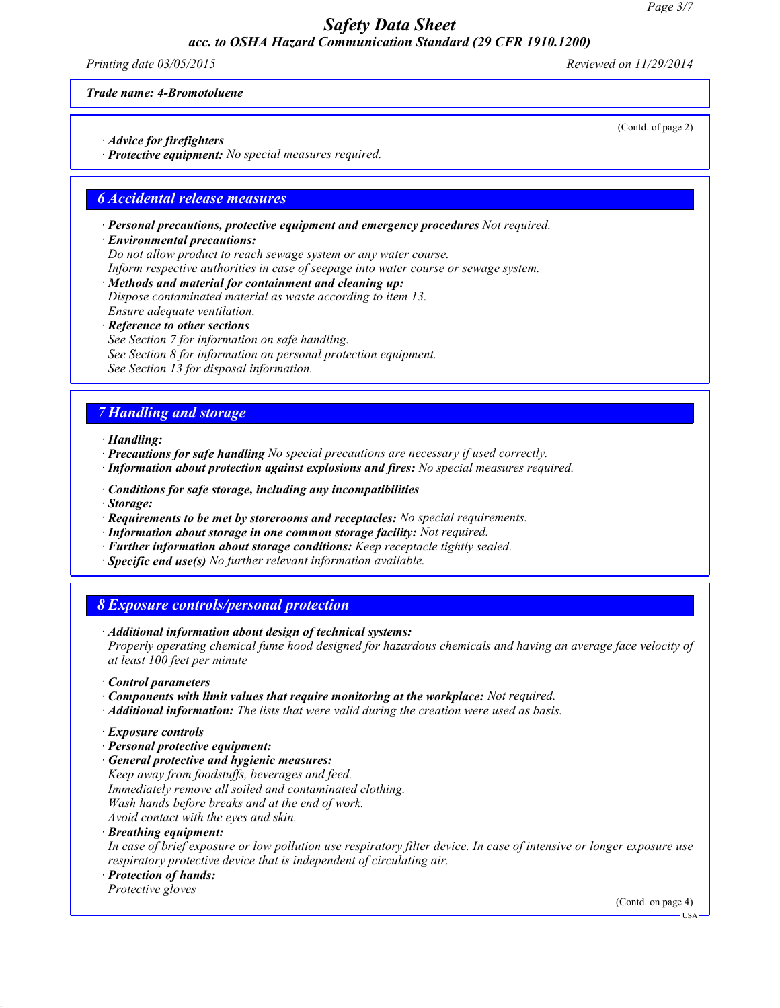*Printing date 03/05/2015 Reviewed on 11/29/2014*

#### *Trade name: 4-Bromotoluene*

- *· Advice for firefighters*
- *· Protective equipment: No special measures required.*

#### *6 Accidental release measures*

*· Personal precautions, protective equipment and emergency procedures Not required.*

#### *· Environmental precautions:*

*Do not allow product to reach sewage system or any water course.*

- *Inform respective authorities in case of seepage into water course or sewage system.*
- *· Methods and material for containment and cleaning up: Dispose contaminated material as waste according to item 13. Ensure adequate ventilation.*
- *· Reference to other sections See Section 7 for information on safe handling. See Section 8 for information on personal protection equipment. See Section 13 for disposal information.*

# *7 Handling and storage*

*· Handling:*

- *· Precautions for safe handling No special precautions are necessary if used correctly.*
- *· Information about protection against explosions and fires: No special measures required.*
- *· Conditions for safe storage, including any incompatibilities*
- *· Storage:*
- *· Requirements to be met by storerooms and receptacles: No special requirements.*
- *· Information about storage in one common storage facility: Not required.*
- *· Further information about storage conditions: Keep receptacle tightly sealed.*
- *· Specific end use(s) No further relevant information available.*

## *8 Exposure controls/personal protection*

*· Additional information about design of technical systems:*

*Properly operating chemical fume hood designed for hazardous chemicals and having an average face velocity of at least 100 feet per minute*

- *· Control parameters*
- *· Components with limit values that require monitoring at the workplace: Not required.*
- *· Additional information: The lists that were valid during the creation were used as basis.*
- *· Exposure controls*
- *· Personal protective equipment:*
- *· General protective and hygienic measures: Keep away from foodstuffs, beverages and feed. Immediately remove all soiled and contaminated clothing. Wash hands before breaks and at the end of work. Avoid contact with the eyes and skin.*

*· Breathing equipment:*

In case of brief exposure or low pollution use respiratory filter device. In case of intensive or longer exposure use *respiratory protective device that is independent of circulating air.*

*· Protection of hands:*

*Protective gloves*

(Contd. on page 4)

(Contd. of page 2)

USA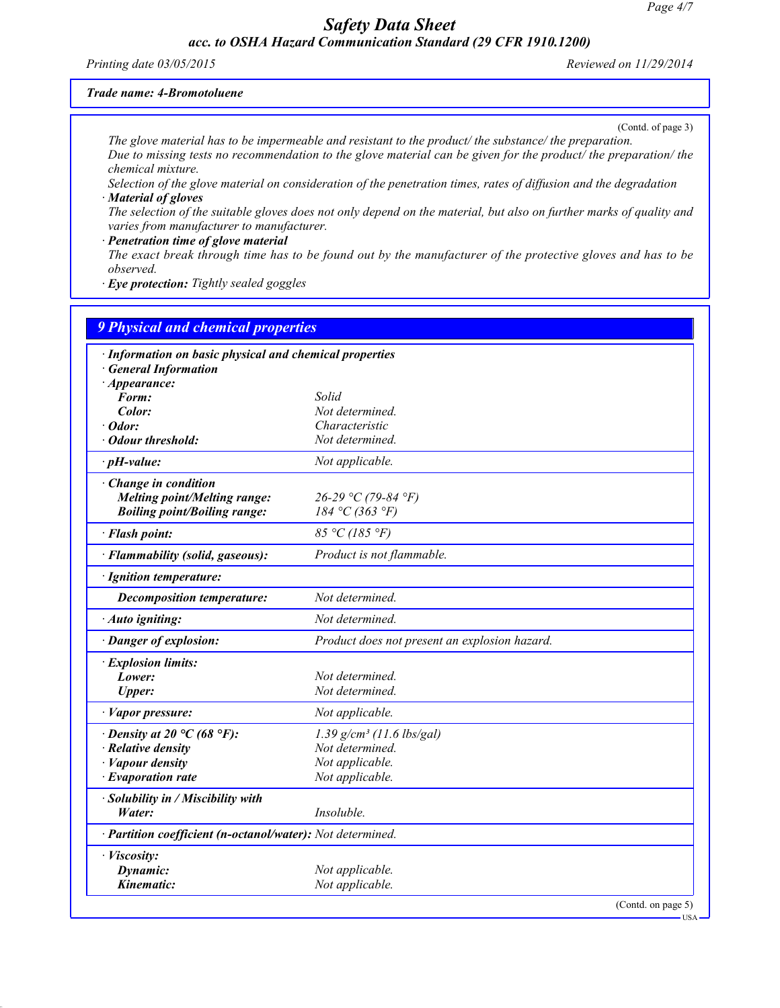#### *Printing date 03/05/2015 Reviewed on 11/29/2014*

#### *Trade name: 4-Bromotoluene*

(Contd. of page 3)

USA

*The glove material has to be impermeable and resistant to the product/ the substance/ the preparation.* Due to missing tests no recommendation to the glove material can be given for the product the preparation the *chemical mixture.*

Selection of the glove material on consideration of the penetration times, rates of diffusion and the degradation *· Material of gloves*

The selection of the suitable gloves does not only depend on the material, but also on further marks of quality and *varies from manufacturer to manufacturer.*

#### *· Penetration time of glove material* The exact break through time has to be found out by the manufacturer of the protective gloves and has to be *observed.*

*· Eye protection: Tightly sealed goggles*

| <b>9 Physical and chemical properties</b>                  |                                               |  |
|------------------------------------------------------------|-----------------------------------------------|--|
| · Information on basic physical and chemical properties    |                                               |  |
| <b>General Information</b>                                 |                                               |  |
| $\cdot$ Appearance:                                        |                                               |  |
| Form:                                                      | Solid                                         |  |
| Color:                                                     | Not determined.                               |  |
| $\cdot$ Odor:                                              | Characteristic                                |  |
| · Odour threshold:                                         | Not determined.                               |  |
| $\cdot$ pH-value:                                          | Not applicable.                               |  |
| Change in condition                                        |                                               |  |
| <b>Melting point/Melting range:</b>                        | 26-29 °C (79-84 °F)                           |  |
| <b>Boiling point/Boiling range:</b>                        | 184 °C (363 °F)                               |  |
| · Flash point:                                             | 85 °C (185 °F)                                |  |
| · Flammability (solid, gaseous):                           | Product is not flammable.                     |  |
| · Ignition temperature:                                    |                                               |  |
| <b>Decomposition temperature:</b>                          | Not determined.                               |  |
| · Auto igniting:                                           | Not determined.                               |  |
| · Danger of explosion:                                     | Product does not present an explosion hazard. |  |
| · Explosion limits:                                        |                                               |  |
| Lower:                                                     | Not determined.                               |  |
| <b>Upper:</b>                                              | Not determined.                               |  |
| · Vapor pressure:                                          | Not applicable.                               |  |
| $\cdot$ Density at 20 °C (68 °F):                          | $1.39$ g/cm <sup>3</sup> (11.6 lbs/gal)       |  |
| $\cdot$ Relative density                                   | Not determined.                               |  |
| $\cdot$ <i>Vapour density</i>                              | Not applicable.                               |  |
| $\cdot$ Evaporation rate                                   | Not applicable.                               |  |
| · Solubility in / Miscibility with                         |                                               |  |
| Water:                                                     | Insoluble.                                    |  |
| · Partition coefficient (n-octanol/water): Not determined. |                                               |  |
| · Viscosity:                                               |                                               |  |
| Dynamic:                                                   | Not applicable.                               |  |
| Kinematic:                                                 | Not applicable.                               |  |
|                                                            | (Contd. on page 5)                            |  |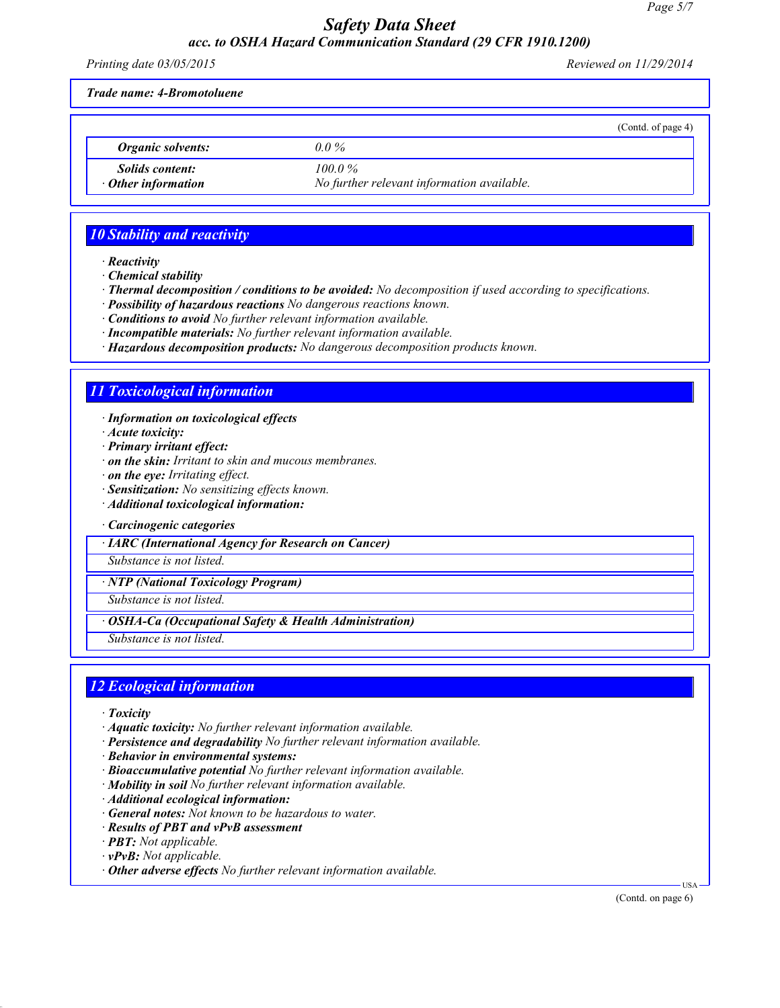*Printing date 03/05/2015 Reviewed on 11/29/2014*

(Contd. of page 4)

*Trade name: 4-Bromotoluene*

*Organic solvents: 0.0 % Solids content: 100.0 %*

*· Other information No further relevant information available.*

# *10 Stability and reactivity*

*· Reactivity*

*· Chemical stability*

- *· Thermal decomposition / conditions to be avoided: No decomposition if used according to specifications.*
- *· Possibility of hazardous reactions No dangerous reactions known.*
- *· Conditions to avoid No further relevant information available.*
- *· Incompatible materials: No further relevant information available.*
- *· Hazardous decomposition products: No dangerous decomposition products known.*

# *11 Toxicological information*

- *· Information on toxicological effects*
- *· Acute toxicity:*
- *· Primary irritant effect:*
- *· on the skin: Irritant to skin and mucous membranes.*
- *· on the eye: Irritating effect.*
- *· Sensitization: No sensitizing effects known.*
- *· Additional toxicological information:*

#### *· Carcinogenic categories*

*· IARC (International Agency for Research on Cancer)*

*Substance is not listed.*

*· NTP (National Toxicology Program)*

*Substance is not listed.*

#### *· OSHA-Ca (Occupational Safety & Health Administration)*

*Substance is not listed.*

# *12 Ecological information*

- *· Toxicity*
- *· Aquatic toxicity: No further relevant information available.*
- *· Persistence and degradability No further relevant information available.*
- *· Behavior in environmental systems:*
- *· Bioaccumulative potential No further relevant information available.*
- *· Mobility in soil No further relevant information available.*
- *· Additional ecological information:*
- *· General notes: Not known to be hazardous to water.*
- *· Results of PBT and vPvB assessment*
- *· PBT: Not applicable.*
- *· vPvB: Not applicable.*
- *· Other adverse effects No further relevant information available.*

(Contd. on page 6)

USA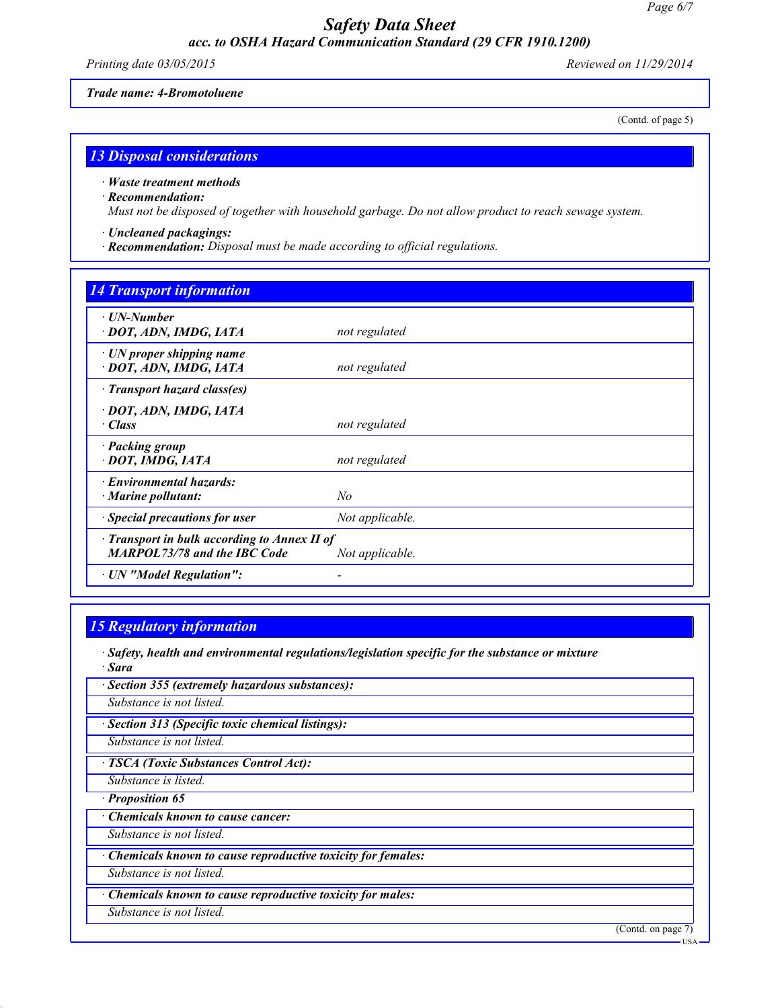*Printing date 03/05/2015 Reviewed on 11/29/2014*

(Contd. of page 5)

#### *Trade name: 4-Bromotoluene*

*13 Disposal considerations*

*· Waste treatment methods*

#### *· Recommendation:*

*Must not be disposed of together with household garbage. Do not allow product to reach sewage system.*

- *· Uncleaned packagings:*
- *· Recommendation: Disposal must be made according to official regulations.*

# *14 Transport information*

| ⋅ UN-Number<br>· DOT, ADN, IMDG, IATA                                               | not regulated   |
|-------------------------------------------------------------------------------------|-----------------|
| $\cdot$ UN proper shipping name<br>· DOT, ADN, IMDG, IATA                           | not regulated   |
| · Transport hazard class(es)                                                        |                 |
| · DOT, ADN, IMDG, IATA<br>$\cdot$ Class                                             | not regulated   |
| · Packing group<br>· DOT, IMDG, IATA                                                | not regulated   |
| $\cdot$ Environmental hazards:<br>$\cdot$ Marine pollutant:                         | No              |
| · Special precautions for user                                                      | Not applicable. |
| · Transport in bulk according to Annex II of<br><b>MARPOL73/78 and the IBC Code</b> | Not applicable. |
| · UN "Model Regulation":                                                            |                 |

## *15 Regulatory information*

*· Safety, health and environmental regulations/legislation specific for the substance or mixture · Sara*

| (Contd. on page 7)<br><b>USA</b> |
|----------------------------------|
|                                  |